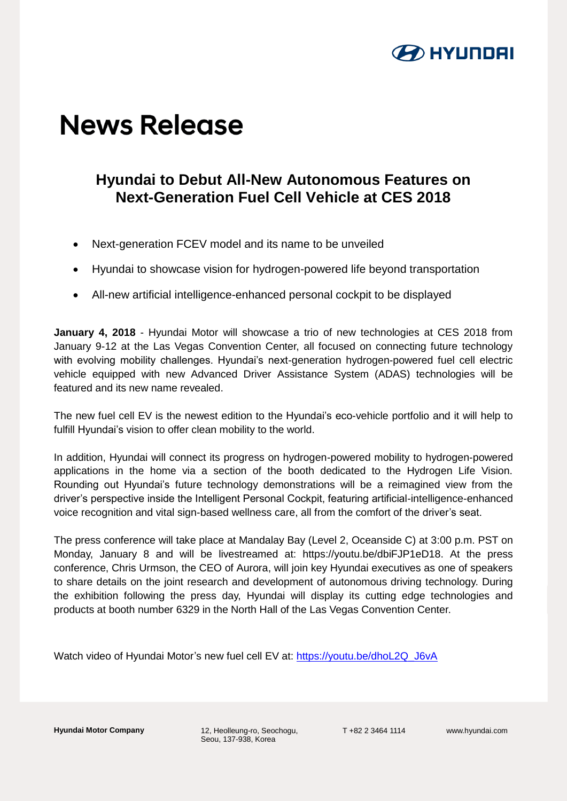

## **News Release**

## **Hyundai to Debut All-New Autonomous Features on Next-Generation Fuel Cell Vehicle at CES 2018**

- Next-generation FCEV model and its name to be unveiled
- Hyundai to showcase vision for hydrogen-powered life beyond transportation
- All-new artificial intelligence-enhanced personal cockpit to be displayed

**January 4, 2018** - Hyundai Motor will showcase a trio of new technologies at CES 2018 from January 9-12 at the Las Vegas Convention Center, all focused on connecting future technology with evolving mobility challenges. Hyundai's next-generation hydrogen-powered fuel cell electric vehicle equipped with new Advanced Driver Assistance System (ADAS) technologies will be featured and its new name revealed.

The new fuel cell EV is the newest edition to the Hyundai's eco-vehicle portfolio and it will help to fulfill Hyundai's vision to offer clean mobility to the world.

In addition, Hyundai will connect its progress on hydrogen-powered mobility to hydrogen-powered applications in the home via a section of the booth dedicated to the Hydrogen Life Vision. Rounding out Hyundai's future technology demonstrations will be a reimagined view from the driver's perspective inside the Intelligent Personal Cockpit, featuring artificial-intelligence-enhanced voice recognition and vital sign-based wellness care, all from the comfort of the driver's seat.

The press conference will take place at Mandalay Bay (Level 2, Oceanside C) at 3:00 p.m. PST on Monday, January 8 and will be livestreamed at: https://youtu.be/dbiFJP1eD18. At the press conference, Chris Urmson, the CEO of Aurora, will join key Hyundai executives as one of speakers to share details on the joint research and development of autonomous driving technology. During the exhibition following the press day, Hyundai will display its cutting edge technologies and products at booth number 6329 in the North Hall of the Las Vegas Convention Center.

Watch video of Hyundai Motor's new fuel cell EV at: [https://youtu.be/dhoL2Q\\_J6vA](https://youtu.be/dhoL2Q_J6vA)